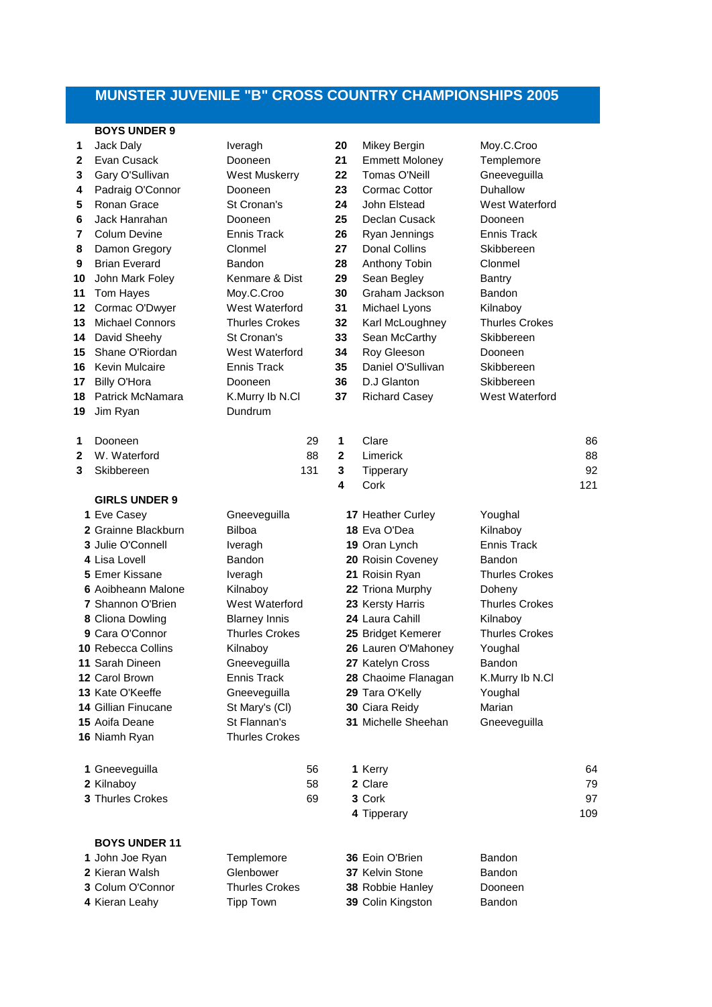## **MUNSTER JUVENILE "B" CROSS COUNTRY CHAMPIONSHIPS 2005**

## **BOYS UNDER 9**

| 1<br>$\mathbf{2}$<br>3<br>4<br>5<br>6<br>7<br>8<br>9<br>10<br>11<br>12<br>13<br>14<br>15<br>16<br>17<br>18 | Jack Daly<br>Evan Cusack<br>Gary O'Sullivan<br>Padraig O'Connor<br>Ronan Grace<br>Jack Hanrahan<br>Colum Devine<br>Damon Gregory<br><b>Brian Everard</b><br>John Mark Foley<br>Tom Hayes<br>Cormac O'Dwyer<br><b>Michael Connors</b><br>David Sheehy<br>Shane O'Riordan<br><b>Kevin Mulcaire</b><br><b>Billy O'Hora</b><br>Patrick McNamara                        | Iveragh<br>Dooneen<br><b>West Muskerry</b><br>Dooneen<br>St Cronan's<br>Dooneen<br><b>Ennis Track</b><br>Clonmel<br>Bandon<br>Kenmare & Dist<br>Moy.C.Croo<br>West Waterford<br><b>Thurles Crokes</b><br>St Cronan's<br>West Waterford<br><b>Ennis Track</b><br>Dooneen<br>K.Murry Ib N.Cl |                 | 20<br>21<br>22<br>23<br>24<br>25<br>26<br>27<br>28<br>29<br>30<br>31<br>32<br>33<br>34<br>35<br>36<br>37 | Mikey Bergin<br><b>Emmett Moloney</b><br>Tomas O'Neill<br>Cormac Cottor<br>John Elstead<br>Declan Cusack<br>Ryan Jennings<br><b>Donal Collins</b><br>Anthony Tobin<br>Sean Begley<br>Graham Jackson<br>Michael Lyons<br>Karl McLoughney<br>Sean McCarthy<br>Roy Gleeson<br>Daniel O'Sullivan<br>D.J Glanton<br><b>Richard Casey</b> | Moy.C.Croo<br>Templemore<br>Gneeveguilla<br>Duhallow<br>West Waterford<br>Dooneen<br><b>Ennis Track</b><br>Skibbereen<br>Clonmel<br><b>Bantry</b><br>Bandon<br>Kilnaboy<br><b>Thurles Crokes</b><br>Skibbereen<br>Dooneen<br>Skibbereen<br>Skibbereen<br>West Waterford |                       |
|------------------------------------------------------------------------------------------------------------|--------------------------------------------------------------------------------------------------------------------------------------------------------------------------------------------------------------------------------------------------------------------------------------------------------------------------------------------------------------------|--------------------------------------------------------------------------------------------------------------------------------------------------------------------------------------------------------------------------------------------------------------------------------------------|-----------------|----------------------------------------------------------------------------------------------------------|-------------------------------------------------------------------------------------------------------------------------------------------------------------------------------------------------------------------------------------------------------------------------------------------------------------------------------------|-------------------------------------------------------------------------------------------------------------------------------------------------------------------------------------------------------------------------------------------------------------------------|-----------------------|
| 19                                                                                                         | Jim Ryan                                                                                                                                                                                                                                                                                                                                                           | Dundrum                                                                                                                                                                                                                                                                                    |                 |                                                                                                          |                                                                                                                                                                                                                                                                                                                                     |                                                                                                                                                                                                                                                                         |                       |
| 1<br>2<br>3                                                                                                | Dooneen<br>W. Waterford<br>Skibbereen                                                                                                                                                                                                                                                                                                                              |                                                                                                                                                                                                                                                                                            | 29<br>88<br>131 | 1<br>$\mathbf{2}$<br>3<br>4                                                                              | Clare<br>Limerick<br>Tipperary<br>Cork                                                                                                                                                                                                                                                                                              |                                                                                                                                                                                                                                                                         | 86<br>88<br>92<br>121 |
|                                                                                                            | <b>GIRLS UNDER 9</b><br>1 Eve Casey<br>2 Grainne Blackburn<br>3 Julie O'Connell<br>4 Lisa Lovell<br>5 Emer Kissane<br>6 Aoibheann Malone<br><b>7 Shannon O'Brien</b><br>8 Cliona Dowling<br>9 Cara O'Connor<br><b>10 Rebecca Collins</b><br>11 Sarah Dineen<br>12 Carol Brown<br>13 Kate O'Keeffe<br><b>14 Gillian Finucane</b><br>15 Aoifa Deane<br>16 Niamh Ryan | Gneeveguilla<br><b>Bilboa</b><br>Iveragh<br>Bandon<br>Iveragh<br>Kilnaboy<br>West Waterford<br><b>Blarney Innis</b><br><b>Thurles Crokes</b><br>Kilnaboy<br>Gneeveguilla<br><b>Ennis Track</b><br>Gneeveguilla<br>St Mary's (CI)<br>St Flannan's<br><b>Thurles Crokes</b>                  |                 |                                                                                                          | 17 Heather Curley<br>18 Eva O'Dea<br>19 Oran Lynch<br>20 Roisin Coveney<br>21 Roisin Ryan<br>22 Triona Murphy<br>23 Kersty Harris<br>24 Laura Cahill<br>25 Bridget Kemerer<br>26 Lauren O'Mahoney<br>27 Katelyn Cross<br>28 Chaoime Flanagan<br>29 Tara O'Kelly<br>30 Ciara Reidy<br>31 Michelle Sheehan                            | Youghal<br>Kilnaboy<br><b>Ennis Track</b><br>Bandon<br><b>Thurles Crokes</b><br>Doheny<br><b>Thurles Crokes</b><br>Kilnaboy<br><b>Thurles Crokes</b><br>Youghal<br>Bandon<br>K.Murry Ib N.Cl<br>Youghal<br>Marian<br>Gneeveguilla                                       |                       |
|                                                                                                            | 1 Gneeveguilla<br>2 Kilnaboy<br>3 Thurles Crokes                                                                                                                                                                                                                                                                                                                   |                                                                                                                                                                                                                                                                                            | 56<br>58<br>69  |                                                                                                          | 1 Kerry<br>2 Clare<br>3 Cork<br>4 Tipperary                                                                                                                                                                                                                                                                                         |                                                                                                                                                                                                                                                                         | 64<br>79<br>97<br>109 |
|                                                                                                            | <b>BOYS UNDER 11</b><br>1 John Joe Ryan<br>2 Kieran Walsh<br>3 Colum O'Connor<br>4 Kieran Leahy                                                                                                                                                                                                                                                                    | Templemore<br>Glenbower<br><b>Thurles Crokes</b><br><b>Tipp Town</b>                                                                                                                                                                                                                       |                 |                                                                                                          | 36 Eoin O'Brien<br><b>37 Kelvin Stone</b><br>38 Robbie Hanley<br>39 Colin Kingston                                                                                                                                                                                                                                                  | Bandon<br>Bandon<br>Dooneen<br>Bandon                                                                                                                                                                                                                                   |                       |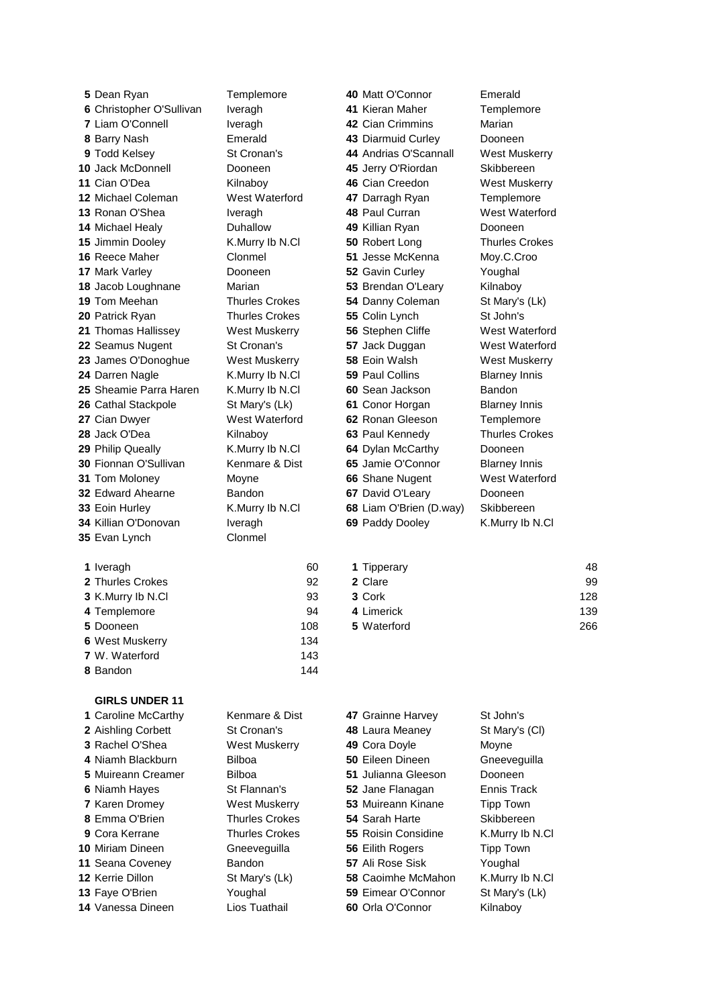Christopher O'Sullivan Iveragh **41** Kieran Maher Templemore Liam O'Connell **Iveragh 42** Cian Crimmins Marian Barry Nash Emerald **43** Diarmuid Curley Dooneen Todd Kelsey St Cronan's **44** Andrias O'Scannall West Muskerry Jack McDonnell Dooneen **45** Jerry O'Riordan Skibbereen Cian O'Dea Kilnaboy **46** Cian Creedon West Muskerry Michael Coleman West Waterford **47** Darragh Ryan Templemore Ronan O'Shea Iveragh **48** Paul Curran West Waterford Michael Healy Duhallow **49** Killian Ryan Dooneen Jimmin Dooley K.Murry Ib N.Cl **50** Robert Long Thurles Crokes Reece Maher Clonmel **51** Jesse McKenna Moy.C.Croo Mark Varley Dooneen **52** Gavin Curley Youghal Jacob Loughnane Marian **53** Brendan O'Leary Kilnaboy Tom Meehan Thurles Crokes **54** Danny Coleman St Mary's (Lk) Patrick Ryan Thurles Crokes **55** Colin Lynch St John's Thomas Hallissey West Muskerry **56** Stephen Cliffe West Waterford Seamus Nugent St Cronan's **57** Jack Duggan West Waterford James O'Donoghue West Muskerry **58** Eoin Walsh West Muskerry Darren Nagle **K.Murry Ib N.Cl <b>59** Paul Collins Blarney Innis Sheamie Parra Haren K.Murry Ib N.Cl **60** Sean Jackson Bandon Cathal Stackpole St Mary's (Lk) 61 Conor Horgan Blarney Innis Cian Dwyer West Waterford **62** Ronan Gleeson Templemore Jack O'Dea **Kilnaboy 63 Paul Kennedy** Thurles Crokes Philip Queally K.Murry Ib N.Cl **64** Dylan McCarthy Dooneen Fionnan O'Sullivan Kenmare & Dist 65 Jamie O'Connor Blarney Innis Tom Moloney **Moyne** Movie **66** Shane Nugent West Waterford Edward Ahearne Bandon **67** David O'Leary Dooneen Eoin Hurley K.Murry Ib N.Cl **68** Liam O'Brien (D.way) Skibbereen Killian O'Donovan Iveragh **69** Paddy Dooley K.Murry Ib N.Cl Evan Lynch Clonmel

Dean Ryan Templemore **40** Matt O'Connor Emerald

| 1 Iveragh             | 60  | 1 Tipperary | 48  |
|-----------------------|-----|-------------|-----|
| 2 Thurles Crokes      | 92  | 2 Clare     | 99  |
| 3 K.Murry Ib N.Cl     | 93  | 3 Cork      | 128 |
| 4 Templemore          | 94  | 4 Limerick  | 139 |
| 5 Dooneen             | 108 | 5 Waterford | 266 |
| 6 West Muskerry       | 134 |             |     |
| <b>7</b> W. Waterford | 143 |             |     |
| 8 Bandon              | 144 |             |     |

## **GIRLS UNDER 11**

| 1 Caroline McCarthy     | Kenmare & Dist        | 47 Grainne Harvey         | St John's        |
|-------------------------|-----------------------|---------------------------|------------------|
| 2 Aishling Corbett      | St Cronan's           | 48 Laura Meaney           | St Mary's (CI)   |
| 3 Rachel O'Shea         | West Muskerry         | 49 Cora Doyle             | Moyne            |
| 4 Niamh Blackburn       | <b>Bilboa</b>         | 50 Eileen Dineen          | Gneeveguilla     |
| 5 Muireann Creamer      | <b>Bilboa</b>         | 51 Julianna Gleeson       | Dooneen          |
| 6 Niamh Hayes           | St Flannan's          | 52 Jane Flanagan          | Ennis Track      |
| <b>7 Karen Dromey</b>   | <b>West Muskerry</b>  | 53 Muireann Kinane        | <b>Tipp Town</b> |
| 8 Emma O'Brien          | <b>Thurles Crokes</b> | 54 Sarah Harte            | Skibbereen       |
| 9 Cora Kerrane          | <b>Thurles Crokes</b> | 55 Roisin Considine       | K.Murry Ib N.Cl  |
| 10 Miriam Dineen        | Gneeveguilla          | 56 Eilith Rogers          | <b>Tipp Town</b> |
| 11 Seana Coveney        | <b>Bandon</b>         | 57 Ali Rose Sisk          | Youghal          |
| <b>12 Kerrie Dillon</b> | St Mary's (Lk)        | <b>58 Caoimhe McMahon</b> | K.Murry Ib N.Cl  |
| 13 Faye O'Brien         | Youghal               | 59 Eimear O'Connor        | St Mary's (Lk)   |
| 14 Vanessa Dineen       | Lios Tuathail         | 60 Orla O'Connor          | Kilnabov         |
|                         |                       |                           |                  |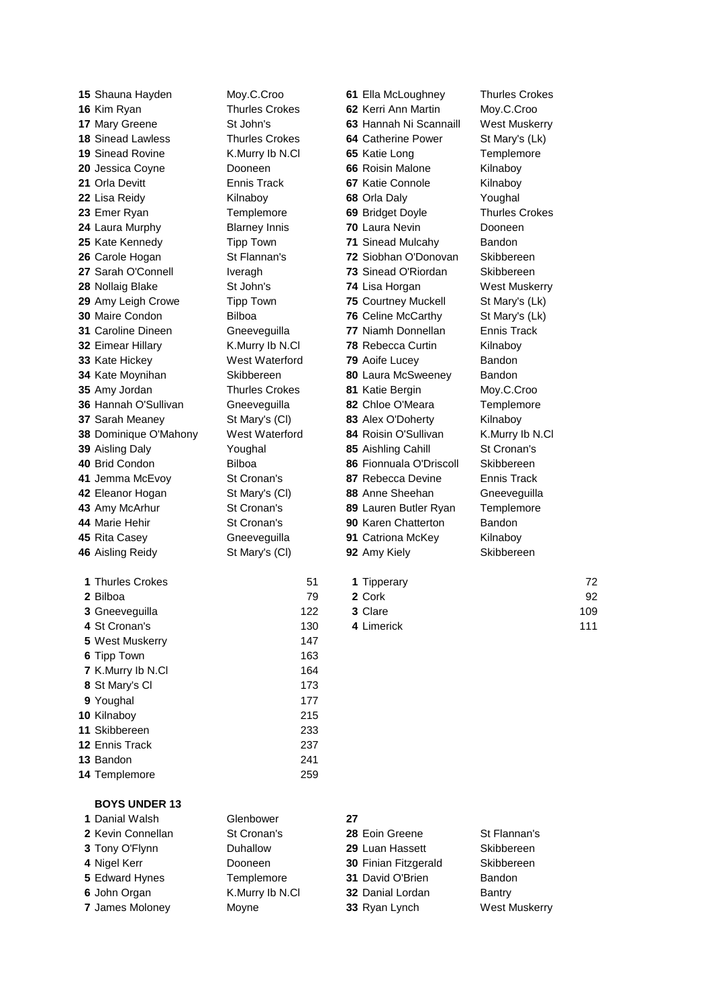Shauna Hayden Moy.C.Croo **61** Ella McLoughney Thurles Crokes Aisling Reidy St Mary's (Cl) **92** Amy Kiely Skibbereen Thurles Crokes 51

| 15 Shauna Hayden          | Moy.C.Croo            | 61 Ella McLoughney         | <b>Thurles Crokes</b> |
|---------------------------|-----------------------|----------------------------|-----------------------|
| 16 Kim Ryan               | <b>Thurles Crokes</b> | 62 Kerri Ann Martin        | Moy.C.Croo            |
| 17 Mary Greene            | St John's             | 63 Hannah Ni Scannaill     | West Muskerry         |
| <b>18 Sinead Lawless</b>  | <b>Thurles Crokes</b> | 64 Catherine Power         | St Mary's (Lk)        |
| <b>19 Sinead Rovine</b>   | K.Murry Ib N.Cl       | 65 Katie Long              | Templemore            |
| 20 Jessica Coyne          | Dooneen               | 66 Roisin Malone           | Kilnaboy              |
| 21 Orla Devitt            | Ennis Track           | 67 Katie Connole           | Kilnaboy              |
| 22 Lisa Reidy             | Kilnaboy              | 68 Orla Daly               | Youghal               |
| 23 Emer Ryan              | Templemore            | 69 Bridget Doyle           | <b>Thurles Crokes</b> |
| 24 Laura Murphy           | <b>Blarney Innis</b>  | 70 Laura Nevin             | Dooneen               |
| 25 Kate Kennedy           | <b>Tipp Town</b>      | <b>71 Sinead Mulcahy</b>   | <b>Bandon</b>         |
| 26 Carole Hogan           | St Flannan's          | 72 Siobhan O'Donovan       | Skibbereen            |
| 27 Sarah O'Connell        | Iveragh               | 73 Sinead O'Riordan        | Skibbereen            |
| 28 Nollaig Blake          | St John's             | 74 Lisa Horgan             | West Muskerry         |
| 29 Amy Leigh Crowe        | <b>Tipp Town</b>      | <b>75 Courtney Muckell</b> | St Mary's (Lk)        |
| 30 Maire Condon           | <b>Bilboa</b>         | 76 Celine McCarthy         | St Mary's (Lk)        |
| <b>31 Caroline Dineen</b> | Gneeveguilla          | 77 Niamh Donnellan         | Ennis Track           |
| 32 Eimear Hillary         | K.Murry Ib N.Cl       | <b>78 Rebecca Curtin</b>   | Kilnaboy              |
| 33 Kate Hickey            | West Waterford        | 79 Aoife Lucey             | Bandon                |
| 34 Kate Moynihan          | Skibbereen            | 80 Laura McSweeney         | Bandon                |
| 35 Amy Jordan             | <b>Thurles Crokes</b> | 81 Katie Bergin            | Moy.C.Croo            |
| 36 Hannah O'Sullivan      | Gneeveguilla          | 82 Chloe O'Meara           | Templemore            |
| <b>37 Sarah Meaney</b>    | St Mary's (CI)        | 83 Alex O'Doherty          | Kilnaboy              |
| 38 Dominique O'Mahony     | West Waterford        | 84 Roisin O'Sullivan       | K.Murry Ib N.Cl       |
| 39 Aisling Daly           | Youghal               | 85 Aishling Cahill         | St Cronan's           |
| 40 Brid Condon            | Bilboa                | 86 Fionnuala O'Driscoll    | Skibbereen            |
| 41 Jemma McEvoy           | St Cronan's           | 87 Rebecca Devine          | Ennis Track           |
| 42 Eleanor Hogan          | St Mary's (CI)        | 88 Anne Sheehan            | Gneeveguilla          |
| 43 Amy McArhur            | St Cronan's           | 89 Lauren Butler Ryan      | Templemore            |
| 44 Marie Hehir            | St Cronan's           | 90 Karen Chatterton        | Bandon                |
| 45 Rita Casey             | Gneeveguilla          | 91 Catriona McKey          | Kilnaboy              |
|                           |                       |                            |                       |

| 1 Thurles Crokes | -51 | <b>1 Tipperary</b> | 72  |
|------------------|-----|--------------------|-----|
| <b>2 Bilboa</b>  | 79  | 2 Cork             | 92  |
| 3 Gneevequilla   | 122 | 3 Clare            | 109 |
| 4 St Cronan's    | 130 | 4 Limerick         | 111 |

| <b>BOYS UNDER 13</b> |                 |                  |                      |
|----------------------|-----------------|------------------|----------------------|
| 1 Danial Walsh       | Glenbower       | 27               |                      |
| 2 Kevin Connellan    | St Cronan's     | 28 Eoin Greene   | St Flannan's         |
| 3 Tony O'Flynn       | <b>Duhallow</b> | 29 Luan Hassett  | Skibbereen           |
| 4 Nigel Kerr         | Dooneen         |                  | Skibbereen           |
| 5 Edward Hynes       | Templemore      | 31 David O'Brien | <b>Bandon</b>        |
| 6 John Organ         | K.Murry Ib N.Cl | 32 Danial Lordan | Bantry               |
| 7 James Moloney      | Moyne           | 33 Ryan Lynch    | <b>West Muskerry</b> |
|                      |                 |                  | 30 Finian Fitzgerald |

 Gneeveguilla 122 St Cronan's 130 West Muskerry **147**  Tipp Town 163 K. Murry Ib N. Cl 164 St Mary's Cl 173 Youghal 177 Kilnaboy 215 Skibbereen 233 Ennis Track 237 Bandon 241 Templemore 259

| 28 Eoin Greene          |
|-------------------------|
| 29 Luan Hassett         |
| 30 Finian Fitzgerald    |
| <b>31 David O'Brien</b> |
| <b>32 Danial Lordan</b> |
| 33 Ryan Lynch           |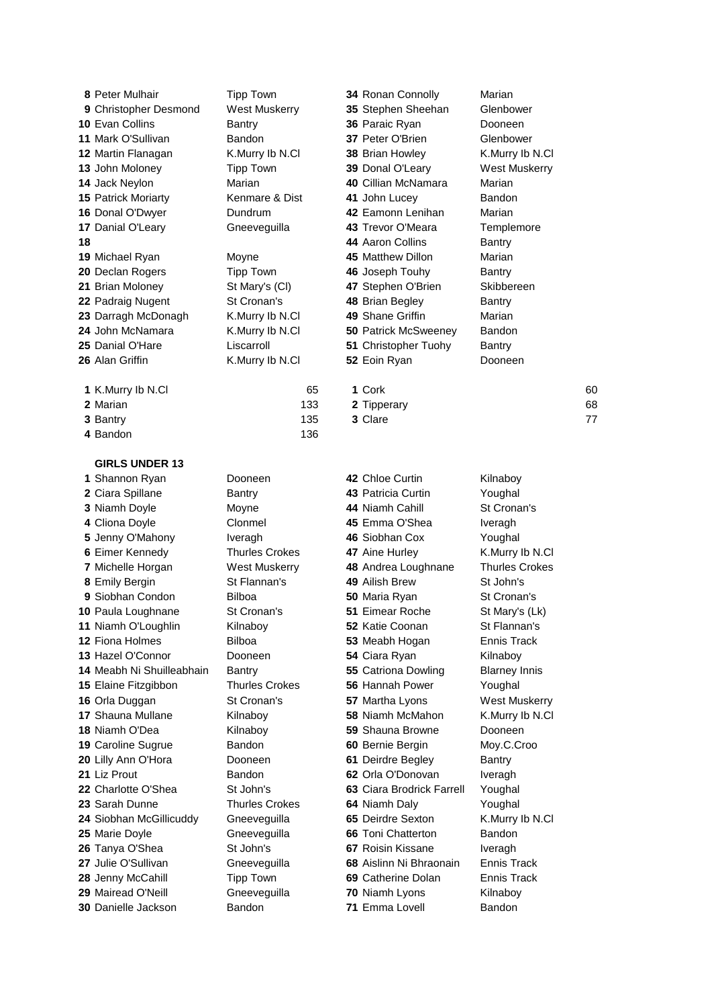Peter Mulhair Tipp Town **34** Ronan Connolly Marian Christopher Desmond West Muskerry **35** Stephen Sheehan Glenbower Evan Collins **10** Bantry **36** Paraic Ryan Dooneen Mark O'Sullivan Bandon **37** Peter O'Brien Glenbower Martin Flanagan K.Murry Ib N.Cl **38** Brian Howley K.Murry Ib N.Cl John Moloney Tipp Town **39** Donal O'Leary West Muskerry Jack Neylon Marian **40** Cillian McNamara Marian Patrick Moriarty **Kenmare & Dist 41** John Lucey **Bandon**  Donal O'Dwyer Dundrum **42** Eamonn Lenihan Marian 17 Danial O'Leary **Gneeveguilla 43 Trevor O'Meara** Templemore **44** Aaron Collins Bantry Michael Ryan Moyne **45** Matthew Dillon Marian Declan Rogers **Tipp Town 46** Joseph Touhy Bantry Brian Moloney St Mary's (Cl) **47** Stephen O'Brien Skibbereen 22 Padraig Nugent St Cronan's **48** Brian Begley Bantry Darragh McDonagh K.Murry Ib N.Cl **49** Shane Griffin Marian John McNamara K.Murry Ib N.Cl **50** Patrick McSweeney Bandon Danial O'Hare Liscarroll **51** Christopher Tuohy Bantry Alan Griffin K.Murry Ib N.Cl **52** Eoin Ryan Dooneen K.Murry Ib N.Cl 65 **1** Cork 60 Marian **133 <b>2** Tipperary **68**  Bantry 135 **3** Clare 77 Bandon 136 **GIRLS UNDER 13** Shannon Ryan Dooneen **42** Chloe Curtin Kilnaboy Ciara Spillane **Bantry 43** Patricia Curtin **Youghal**  Niamh Doyle Moyne **44** Niamh Cahill St Cronan's Cliona Doyle Clonmel **45** Emma O'Shea Iveragh Jenny O'Mahony Iveragh **46** Siobhan Cox Youghal Eimer Kennedy Thurles Crokes **47** Aine Hurley K.Murry Ib N.Cl Michelle Horgan West Muskerry **48** Andrea Loughnane Thurles Crokes Emily Bergin St Flannan's **49** Ailish Brew St John's Siobhan Condon Bilboa **50** Maria Ryan St Cronan's Paula Loughnane St Cronan's **51** Eimear Roche St Mary's (Lk) Niamh O'Loughlin Kilnaboy **52** Katie Coonan St Flannan's Fiona Holmes Bilboa **53** Meabh Hogan Ennis Track 13 Hazel O'Connor **Dooneen 54** Ciara Ryan Kilnaboy Meabh Ni Shuilleabhain Bantry **55** Catriona Dowling Blarney Innis Elaine Fitzgibbon Thurles Crokes **56** Hannah Power Youghal Orla Duggan St Cronan's **57** Martha Lyons West Muskerry Shauna Mullane Kilnaboy **58** Niamh McMahon K.Murry Ib N.Cl Niamh O'Dea **Kilnaboy 59** Shauna Browne Dooneen Caroline Sugrue Bandon **60** Bernie Bergin Moy.C.Croo Lilly Ann O'Hora Dooneen **61** Deirdre Begley Bantry Liz Prout Bandon **62** Orla O'Donovan Iveragh Charlotte O'Shea St John's **63** Ciara Brodrick Farrell Youghal Sarah Dunne Thurles Crokes **64** Niamh Daly Youghal Siobhan McGillicuddy Gneeveguilla **65** Deirdre Sexton K.Murry Ib N.Cl Marie Doyle Gneeveguilla **66** Toni Chatterton Bandon Tanya O'Shea St John's **67** Roisin Kissane Iveragh Julie O'Sullivan Gneeveguilla **68** Aislinn Ni Bhraonain Ennis Track Jenny McCahill Tipp Town **69** Catherine Dolan Ennis Track Mairead O'Neill Gneeveguilla **70** Niamh Lyons Kilnaboy

Danielle Jackson Bandon **71** Emma Lovell Bandon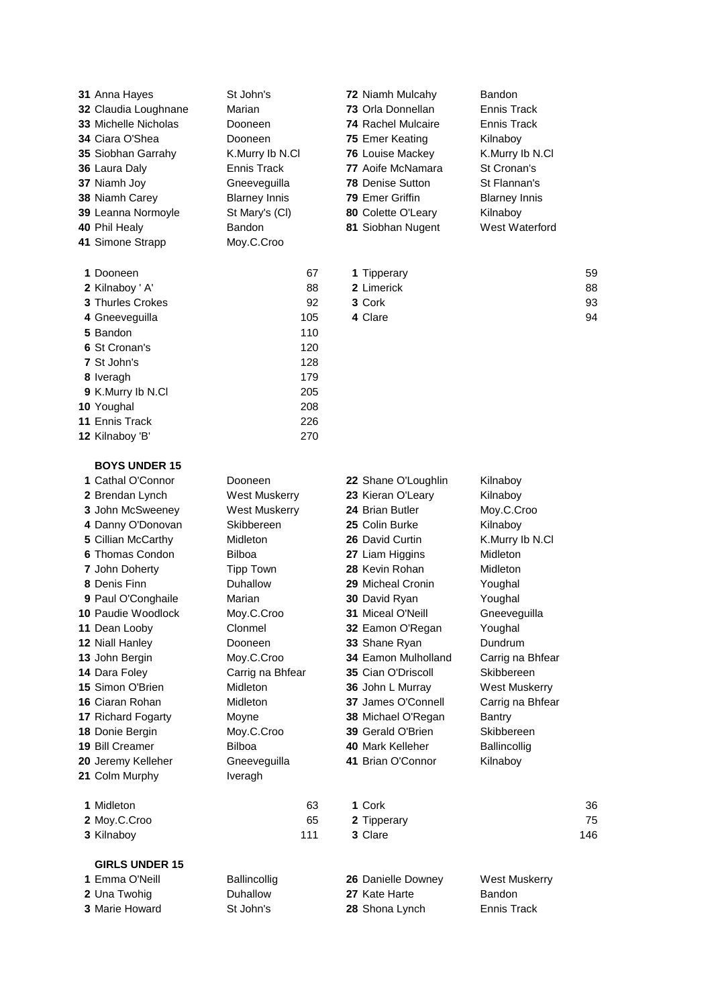| 32 Claudia Loughnane<br>33 Michelle Nicholas<br>34 Ciara O'Shea<br>35 Siobhan Garrahy<br>36 Laura Daly<br>37 Niamh Joy<br>38 Niamh Carey<br>39 Leanna Normoyle<br>40 Phil Healy<br>41 Simone Strapp                                                                                                                                                                                                                                            | Marian<br>Dooneen<br>Dooneen<br>K.Murry Ib N.Cl<br>Ennis Track<br>Gneeveguilla<br><b>Blarney Innis</b><br>St Mary's (CI)<br>Bandon<br>Moy.C.Croo                                                                                                                                                | 75 Emer Keating<br><b>78 Denise Sutton</b><br>79 Emer Griffin                                                                                                               | 73 Orla Donnellan<br><b>74 Rachel Mulcaire</b><br>76 Louise Mackey<br>77 Aoife McNamara<br>80 Colette O'Leary<br>81 Siobhan Nugent                                                                                                       | <b>Ennis Track</b><br><b>Ennis Track</b><br>Kilnaboy<br>K.Murry Ib N.Cl<br>St Cronan's<br>St Flannan's<br><b>Blarney Innis</b><br>Kilnaboy<br>West Waterford                                                                                                                                   |                      |
|------------------------------------------------------------------------------------------------------------------------------------------------------------------------------------------------------------------------------------------------------------------------------------------------------------------------------------------------------------------------------------------------------------------------------------------------|-------------------------------------------------------------------------------------------------------------------------------------------------------------------------------------------------------------------------------------------------------------------------------------------------|-----------------------------------------------------------------------------------------------------------------------------------------------------------------------------|------------------------------------------------------------------------------------------------------------------------------------------------------------------------------------------------------------------------------------------|------------------------------------------------------------------------------------------------------------------------------------------------------------------------------------------------------------------------------------------------------------------------------------------------|----------------------|
| 1 Dooneen<br>2 Kilnaboy ' A'<br>3 Thurles Crokes<br>4 Gneeveguilla<br>5 Bandon<br>6 St Cronan's<br>7 St John's<br>8 Iveragh<br>9 K.Murry lb N.Cl<br>10 Youghal<br>11 Ennis Track<br>12 Kilnaboy 'B'                                                                                                                                                                                                                                            | 67<br>88<br>92<br>105<br>110<br>120<br>128<br>179<br>205<br>208<br>226<br>270                                                                                                                                                                                                                   | 1 Tipperary<br>2 Limerick<br>3 Cork<br>4 Clare                                                                                                                              |                                                                                                                                                                                                                                          |                                                                                                                                                                                                                                                                                                | 59<br>88<br>93<br>94 |
| <b>BOYS UNDER 15</b><br>1 Cathal O'Connor<br>2 Brendan Lynch<br>3 John McSweeney<br>4 Danny O'Donovan<br>5 Cillian McCarthy<br>6 Thomas Condon<br>7 John Doherty<br>8 Denis Finn<br>9 Paul O'Conghaile<br>10 Paudie Woodlock<br>11 Dean Looby<br>12 Niall Hanley<br>13 John Bergin<br>14 Dara Foley<br>15 Simon O'Brien<br>16 Ciaran Rohan<br>17 Richard Fogarty<br>18 Donie Bergin<br>19 Bill Creamer<br>20 Jeremy Kelleher<br>21 Colm Murphy | Dooneen<br><b>West Muskerry</b><br><b>West Muskerry</b><br>Skibbereen<br>Midleton<br>Bilboa<br><b>Tipp Town</b><br>Duhallow<br>Marian<br>Moy.C.Croo<br>Clonmel<br>Dooneen<br>Moy.C.Croo<br>Carrig na Bhfear<br>Midleton<br>Midleton<br>Moyne<br>Moy.C.Croo<br>Bilboa<br>Gneeveguilla<br>Iveragh | 24 Brian Butler<br>25 Colin Burke<br>26 David Curtin<br>27 Liam Higgins<br>28 Kevin Rohan<br>30 David Ryan<br><b>31 Miceal O'Neill</b><br>33 Shane Ryan<br>40 Mark Kelleher | 22 Shane O'Loughlin<br>23 Kieran O'Leary<br>29 Micheal Cronin<br>32 Eamon O'Regan<br>34 Eamon Mulholland<br>35 Cian O'Driscoll<br>36 John L Murray<br>37 James O'Connell<br>38 Michael O'Regan<br>39 Gerald O'Brien<br>41 Brian O'Connor | Kilnaboy<br>Kilnaboy<br>Moy.C.Croo<br>Kilnaboy<br>K.Murry Ib N.Cl<br><b>Midleton</b><br>Midleton<br>Youghal<br>Youghal<br>Gneeveguilla<br>Youghal<br>Dundrum<br>Carrig na Bhfear<br>Skibbereen<br>West Muskerry<br>Carrig na Bhfear<br>Bantry<br>Skibbereen<br><b>Ballincollig</b><br>Kilnaboy |                      |
| 1 Midleton<br>2 Moy.C.Croo<br>3 Kilnaboy<br><b>GIRLS UNDER 15</b><br>1 Emma O'Neill                                                                                                                                                                                                                                                                                                                                                            | 63<br>65<br>111                                                                                                                                                                                                                                                                                 | 1 Cork<br>2 Tipperary<br>3 Clare                                                                                                                                            |                                                                                                                                                                                                                                          |                                                                                                                                                                                                                                                                                                | 36<br>75<br>146      |
| 2 Una Twohig<br>3 Marie Howard                                                                                                                                                                                                                                                                                                                                                                                                                 | Ballincollig<br>Duhallow<br>St John's                                                                                                                                                                                                                                                           | 27 Kate Harte<br>28 Shona Lynch                                                                                                                                             | 26 Danielle Downey                                                                                                                                                                                                                       | West Muskerry<br><b>Bandon</b><br><b>Ennis Track</b>                                                                                                                                                                                                                                           |                      |

Anna Hayes St John's **72** Niamh Mulcahy Bandon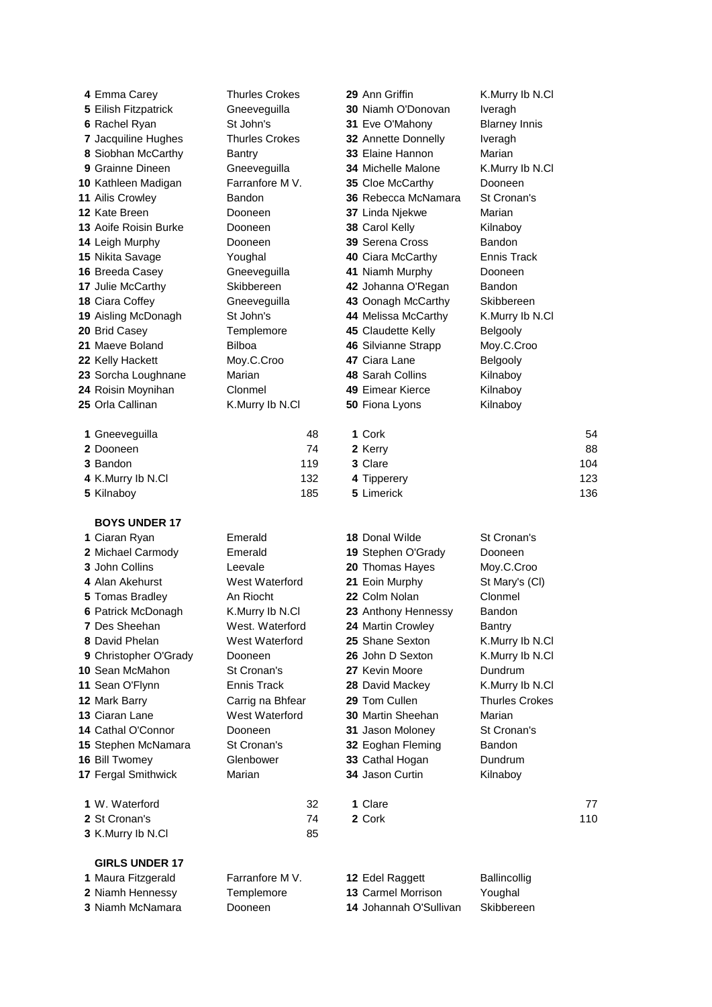| 4 Emma Carey                         | <b>Thurles Crokes</b> |     | 29 Ann Griffin                               | K.Murry Ib N.Cl       |     |
|--------------------------------------|-----------------------|-----|----------------------------------------------|-----------------------|-----|
| 5 Eilish Fitzpatrick                 | Gneeveguilla          |     | 30 Niamh O'Donovan                           | Iveragh               |     |
| 6 Rachel Ryan                        | St John's             |     | 31 Eve O'Mahony                              | <b>Blarney Innis</b>  |     |
| 7 Jacquiline Hughes                  | <b>Thurles Crokes</b> |     | 32 Annette Donnelly                          | Iveragh               |     |
| 8 Siobhan McCarthy                   | <b>Bantry</b>         |     | 33 Elaine Hannon                             | Marian                |     |
| 9 Grainne Dineen                     | Gneeveguilla          |     | <b>34 Michelle Malone</b>                    | K.Murry Ib N.Cl       |     |
| 10 Kathleen Madigan                  | Farranfore M V.       |     | 35 Cloe McCarthy                             | Dooneen               |     |
| 11 Ailis Crowley                     | <b>Bandon</b>         |     | 36 Rebecca McNamara                          | St Cronan's           |     |
| 12 Kate Breen                        | Dooneen               |     | 37 Linda Njekwe                              | Marian                |     |
| 13 Aoife Roisin Burke                | Dooneen               |     | 38 Carol Kelly                               | Kilnaboy              |     |
| 14 Leigh Murphy                      | Dooneen               |     | 39 Serena Cross                              | Bandon                |     |
| 15 Nikita Savage                     | Youghal               |     | 40 Ciara McCarthy                            | <b>Ennis Track</b>    |     |
| 16 Breeda Casey                      | Gneeveguilla          |     | 41 Niamh Murphy                              | Dooneen               |     |
| 17 Julie McCarthy                    | Skibbereen            |     | 42 Johanna O'Regan                           | Bandon                |     |
| 18 Ciara Coffey                      | Gneeveguilla          |     | 43 Oonagh McCarthy                           | Skibbereen            |     |
| 19 Aisling McDonagh                  | St John's             |     | 44 Melissa McCarthy                          | K.Murry Ib N.Cl       |     |
| 20 Brid Casey                        | Templemore            |     | 45 Claudette Kelly                           | Belgooly              |     |
| 21 Maeve Boland                      | <b>Bilboa</b>         |     | 46 Silvianne Strapp                          | Moy.C.Croo            |     |
| 22 Kelly Hackett                     | Moy.C.Croo            |     | 47 Ciara Lane                                | Belgooly              |     |
| 23 Sorcha Loughnane                  | Marian                |     | 48 Sarah Collins                             | Kilnaboy              |     |
| 24 Roisin Moynihan                   | Clonmel               |     | 49 Eimear Kierce                             | Kilnaboy              |     |
| 25 Orla Callinan                     | K.Murry Ib N.Cl       |     | 50 Fiona Lyons                               | Kilnaboy              |     |
|                                      |                       |     |                                              |                       |     |
| 1 Gneeveguilla                       |                       | 48  | 1 Cork                                       |                       | 54  |
| 2 Dooneen                            |                       | 74  | 2 Kerry                                      |                       | 88  |
| 3 Bandon                             |                       | 119 | 3 Clare                                      |                       | 104 |
| 4 K.Murry Ib N.Cl                    |                       | 132 | 4 Tipperery                                  |                       | 123 |
| 5 Kilnaboy                           |                       | 185 | 5 Limerick                                   |                       | 136 |
|                                      |                       |     |                                              |                       |     |
| <b>BOYS UNDER 17</b>                 |                       |     |                                              |                       |     |
| 1 Ciaran Ryan                        | Emerald               |     | 18 Donal Wilde                               | St Cronan's           |     |
| 2 Michael Carmody                    | Emerald               |     | 19 Stephen O'Grady                           | Dooneen               |     |
| 3 John Collins                       | Leevale               |     | 20 Thomas Hayes                              | Moy.C.Croo            |     |
| 4 Alan Akehurst                      | West Waterford        |     | 21 Eoin Murphy                               | St Mary's (CI)        |     |
| 5 Tomas Bradley                      | An Riocht             |     | 22 Colm Nolan                                | Clonmel               |     |
| 6 Patrick McDonagh                   | K.Murry Ib N.Cl       |     | 23 Anthony Hennessy                          | Bandon                |     |
| 7 Des Sheehan                        | West. Waterford       |     | 24 Martin Crowley                            | Bantry                |     |
| 8 David Phelan                       | West Waterford        |     | 25 Shane Sexton                              | K.Murry Ib N.Cl       |     |
| 9 Christopher O'Grady                | Dooneen               |     | 26 John D Sexton                             | K.Murry Ib N.Cl       |     |
| <b>10 Sean McMahon</b>               | St Cronan's           |     | 27 Kevin Moore                               | Dundrum               |     |
| 11 Sean O'Flynn                      | Ennis Track           |     | 28 David Mackey                              | K.Murry Ib N.Cl       |     |
| 12 Mark Barry                        | Carrig na Bhfear      |     | 29 Tom Cullen                                | <b>Thurles Crokes</b> |     |
| 13 Ciaran Lane                       | West Waterford        |     | 30 Martin Sheehan                            | Marian                |     |
| 14 Cathal O'Connor                   | Dooneen               |     | 31 Jason Moloney                             | St Cronan's           |     |
| 15 Stephen McNamara                  | St Cronan's           |     | 32 Eoghan Fleming                            | Bandon                |     |
| 16 Bill Twomey                       | Glenbower             |     | 33 Cathal Hogan                              | Dundrum               |     |
| 17 Fergal Smithwick                  | Marian                |     | 34 Jason Curtin                              | Kilnaboy              |     |
|                                      |                       |     |                                              |                       |     |
|                                      |                       |     |                                              |                       |     |
| 1 W. Waterford                       |                       | 32  | 1 Clare                                      |                       | 77  |
| 2 St Cronan's                        |                       | 74  | 2 Cork                                       |                       | 110 |
| 3 K.Murry Ib N.Cl                    |                       | 85  |                                              |                       |     |
|                                      |                       |     |                                              |                       |     |
| <b>GIRLS UNDER 17</b>                |                       |     |                                              |                       |     |
| 1 Maura Fitzgerald                   | Farranfore M V.       |     | 12 Edel Raggett                              | Ballincollig          |     |
| 2 Niamh Hennessy<br>3 Niamh McNamara | Templemore<br>Dooneen |     | 13 Carmel Morrison<br>14 Johannah O'Sullivan | Youghal<br>Skibbereen |     |